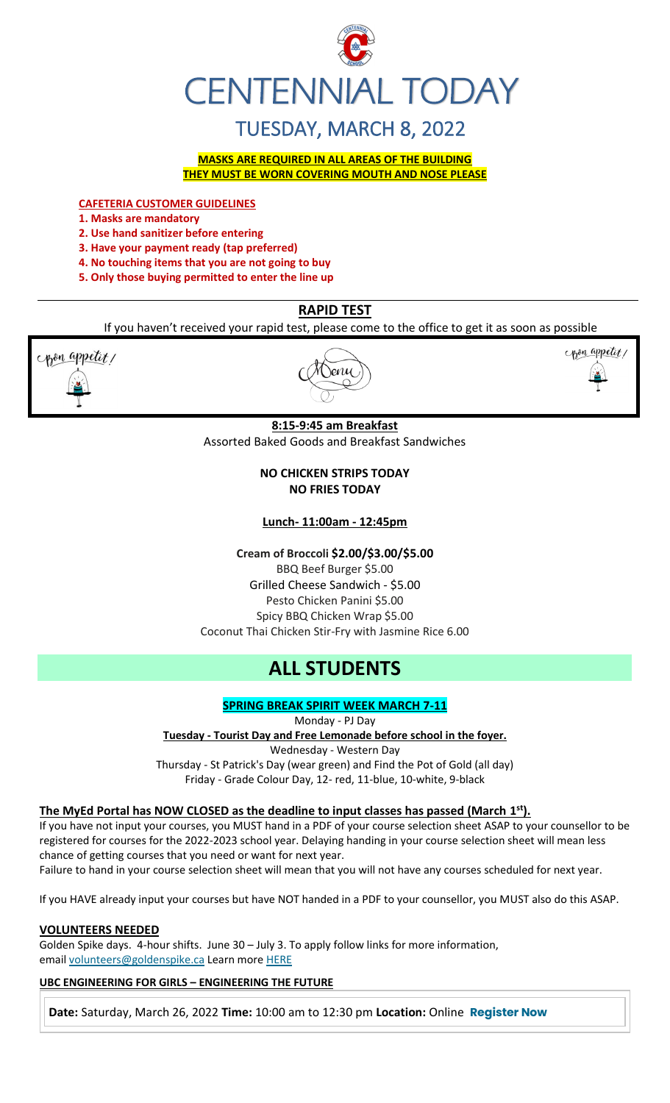

# TUESDAY, MARCH 8, 2022

**MASKS ARE REQUIRED IN ALL AREAS OF THE BUILDING THEY MUST BE WORN COVERING MOUTH AND NOSE PLEASE**

**CAFETERIA CUSTOMER GUIDELINES**

**1. Masks are mandatory**

**2. Use hand sanitizer before entering** 

**3. Have your payment ready (tap preferred)** 

**4. No touching items that you are not going to buy** 

**5. Only those buying permitted to enter the line up**

## **RAPID TEST**

If you haven't received your rapid test, please come to the office to get it as soon as possible



l \enu



#### **8:15-9:45 am Breakfast** Assorted Baked Goods and Breakfast Sandwiches

**NO CHICKEN STRIPS TODAY NO FRIES TODAY**

**Lunch- 11:00am - 12:45pm**

**Cream of Broccoli \$2.00/\$3.00/\$5.00** BBQ Beef Burger \$5.00 Grilled Cheese Sandwich - \$5.00 Pesto Chicken Panini \$5.00 Spicy BBQ Chicken Wrap \$5.00 Coconut Thai Chicken Stir-Fry with Jasmine Rice 6.00

# **ALL STUDENTS**

**SPRING BREAK SPIRIT WEEK MARCH 7-11**

Monday - PJ Day **Tuesday - Tourist Day and Free Lemonade before school in the foyer.** Wednesday - Western Day Thursday - St Patrick's Day (wear green) and Find the Pot of Gold (all day)

Friday - Grade Colour Day, 12- red, 11-blue, 10-white, 9-black

#### **The MyEd Portal has NOW CLOSED as the deadline to input classes has passed (March 1 st).**

If you have not input your courses, you MUST hand in a PDF of your course selection sheet ASAP to your counsellor to be registered for courses for the 2022-2023 school year. Delaying handing in your course selection sheet will mean less chance of getting courses that you need or want for next year.

Failure to hand in your course selection sheet will mean that you will not have any courses scheduled for next year.

If you HAVE already input your courses but have NOT handed in a PDF to your counsellor, you MUST also do this ASAP.

#### **VOLUNTEERS NEEDED**

Golden Spike days. 4-hour shifts. June 30 – July 3. To apply follow links for more information, email [volunteers@goldenspike.ca](mailto:volunteers@goldenspike.ca) Learn more [HERE](https://c-wm904.na1.hubspotlinksfree.com/Btc/W2+113/c-WM904/DWYfY3svlvW3Tbr0z7KVxn8W4KxtYX4FW50JN7dHCvk3lSc3V1-WJV7CgMxbV3smF85QT2hwW6lg1KY32M9PdW8NkZrN3cg7-QW76CRwD8r4jH4W7yTh8Y1XQGMzW7B5FQg7M6KW5W87mWdX3ktK-DW23Gt8Y4CscWkW1mT9Fy5H89ZqW66gSc76qLs_3W3XXTn22MFw35N2zGF_JjZ_QJW85NX_j2kB6QzW7nS80g3_fsx_W6jswXn4S5Wj4W4H8K9n4lzxsWW5tkCB526gmzbW5zvnGd1VjFzDW5pWbf47fdpVNN2gTyRbmvWF9N8xzMDZ7znvrW6Hg6PD4sTt8cW7mdYm-1qJZdfW1z0CgP7DZkhF37Qj1)

#### **UBC ENGINEERING FOR GIRLS – ENGINEERING THE FUTURE**

**Date:** Saturday, March 26, 2022 **Time:** 10:00 am to 12:30 pm **Location:** Online **[Register Now](https://usend.ubc.ca/sendy/l/rIVID892cGlXFhKkqDAP4pPw/2KZZzB8auY0CbfN3AeQQPQ/2NVMXaF6kwoqb0Zu2zyabA)**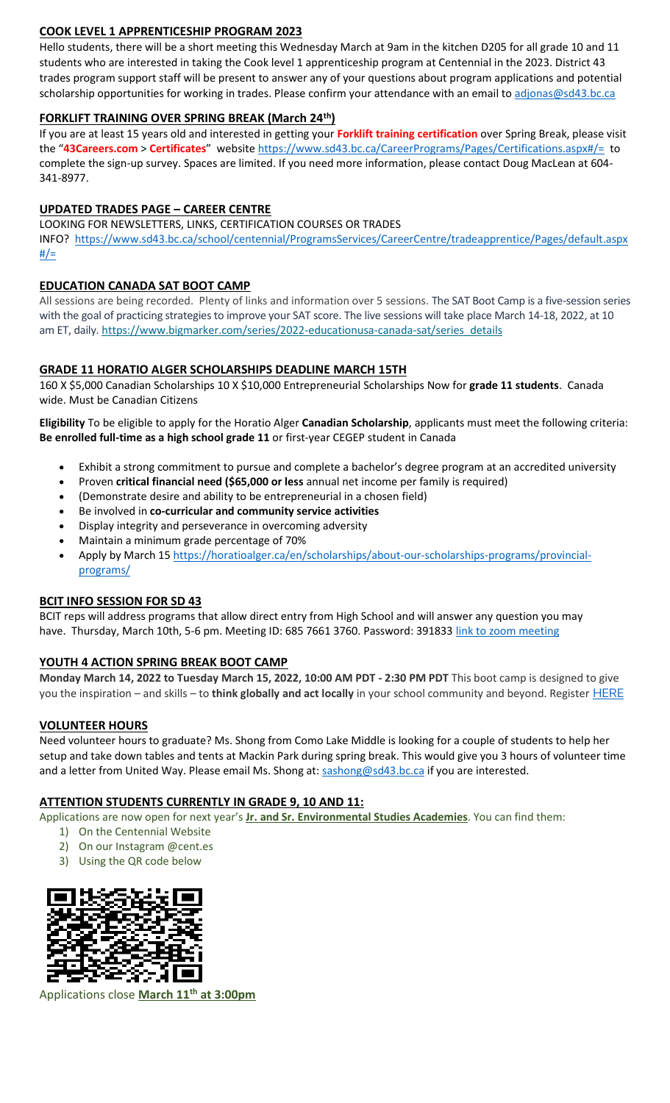#### **COOK LEVEL 1 APPRENTICESHIP PROGRAM 2023**

Hello students, there will be a short meeting this Wednesday March at 9am in the kitchen D205 for all grade 10 and 11 students who are interested in taking the Cook level 1 apprenticeship program at Centennial in the 2023. District 43 trades program support staff will be present to answer any of your questions about program applications and potential scholarship opportunities for working in trades. Please confirm your attendance with an email to [adjonas@sd43.bc.ca](mailto:adjonas@sd43.bc.ca)

#### **FORKLIFT TRAINING OVER SPRING BREAK (March 24th)**

If you are at least 15 years old and interested in getting your **Forklift training certification** over Spring Break, please visit the "**43Careers.com** > **Certificates**" websit[e https://www.sd43.bc.ca/CareerPrograms/Pages/Certifications.aspx#/=](https://www.sd43.bc.ca/CareerPrograms/Pages/Certifications.aspx#/=) to complete the sign-up survey. Spaces are limited. If you need more information, please contact Doug MacLean at 604- 341-8977.

#### **UPDATED TRADES PAGE – CAREER CENTRE**

LOOKING FOR NEWSLETTERS, LINKS, CERTIFICATION COURSES OR TRADES

INFO? [https://www.sd43.bc.ca/school/centennial/ProgramsServices/CareerCentre/tradeapprentice/Pages/default.aspx](https://www.sd43.bc.ca/school/centennial/ProgramsServices/CareerCentre/tradeapprentice/Pages/default.aspx#/=)  $#/=$ 

#### **EDUCATION CANADA SAT BOOT CAMP**

All sessions are being recorded. Plenty of links and information over 5 sessions. The SAT Boot Camp is a five-session series with the goal of practicing strategies to improve your SAT score. The live sessions will take place March 14-18, 2022, at 10 am ET, daily. [https://www.bigmarker.com/series/2022-educationusa-canada-sat/series\\_details](https://www.bigmarker.com/series/2022-educationusa-canada-sat/series_details)

#### **GRADE 11 HORATIO ALGER SCHOLARSHIPS DEADLINE MARCH 15TH**

160 X \$5,000 Canadian Scholarships 10 X \$10,000 Entrepreneurial Scholarships Now for **grade 11 students**. Canada wide. Must be Canadian Citizens

**Eligibility** To be eligible to apply for the Horatio Alger **Canadian Scholarship**, applicants must meet the following criteria: **Be enrolled full-time as a high school grade 11** or first-year CEGEP student in Canada

- Exhibit a strong commitment to pursue and complete a bachelor's degree program at an accredited university
- Proven **critical financial need (\$65,000 or less** annual net income per family is required)
- (Demonstrate desire and ability to be entrepreneurial in a chosen field)
- Be involved in **co-curricular and community service activities**
- Display integrity and perseverance in overcoming adversity
- Maintain a minimum grade percentage of 70%
- Apply by March 15 [https://horatioalger.ca/en/scholarships/about-our-scholarships-programs/provincial](https://horatioalger.ca/en/scholarships/about-our-scholarships-programs/provincial-programs/)[programs/](https://horatioalger.ca/en/scholarships/about-our-scholarships-programs/provincial-programs/)

#### **BCIT INFO SESSION FOR SD 43**

BCIT reps will address programs that allow direct entry from High School and will answer any question you may have. Thursday, March 10th, 5-6 pm. Meeting ID: 685 7661 3760. Password: 391833 [link to zoom meeting](https://bcit.zoom.us/j/68576613760?pwd=UkwrYjVZQVVrWUdXdFVXdEpGQXBOQT09#success)

#### **YOUTH 4 ACTION SPRING BREAK BOOT CAMP**

**Monday March 14, 2022 to Tuesday March 15, 2022, 10:00 AM PDT - 2:30 PM PDT** This boot camp is designed to give you the inspiration – and skills – to **think globally and act locally** in your school community and beyond. Register [HERE](https://registration.metrovancouver.org/youth4action/Pages/Think-Global-Plan-Lead-Local-Mar14-15.aspx)

#### **VOLUNTEER HOURS**

Need volunteer hours to graduate? Ms. Shong from Como Lake Middle is looking for a couple of students to help her setup and take down tables and tents at Mackin Park during spring break. This would give you 3 hours of volunteer time and a letter from United Way. Please email Ms. Shong at: [sashong@sd43.bc.ca](mailto:sashong@sd43.bc.ca) if you are interested.

#### **ATTENTION STUDENTS CURRENTLY IN GRADE 9, 10 AND 11:**

Applications are now open for next year's **Jr. and Sr. Environmental Studies Academies**. You can find them:

- 1) On the Centennial Website
- 2) On our Instagram @cent.es
- 3) Using the QR code below



Applications close **March 11th at 3:00pm**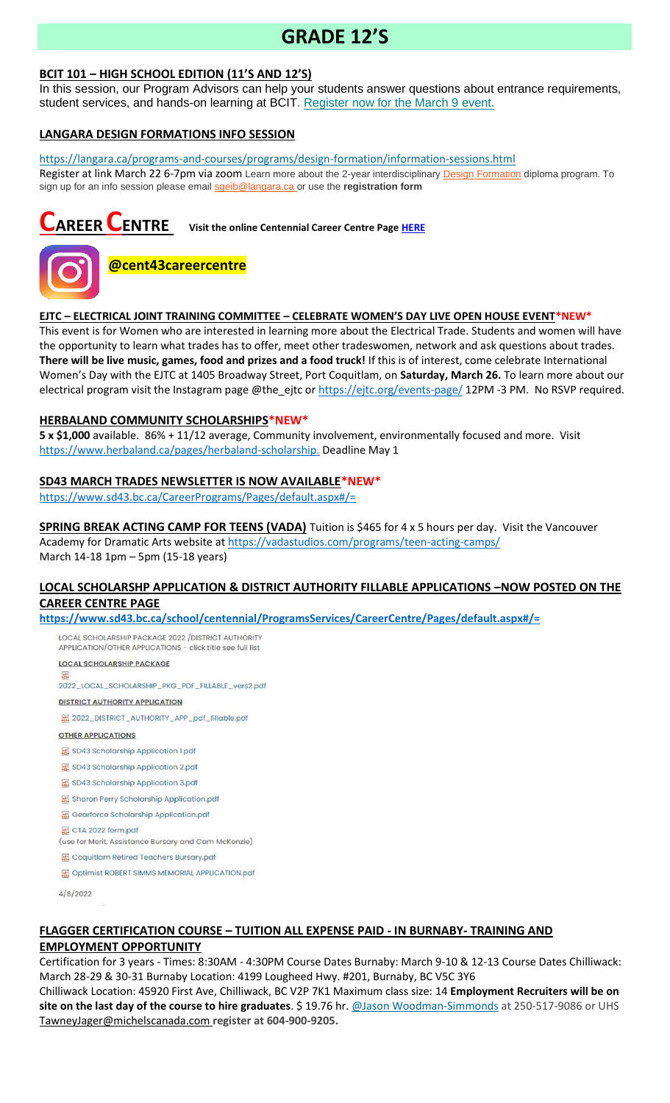# **GRADE 12'S**

## **BCIT 101 – HIGH SCHOOL EDITION (11'S AND 12'S)**

In this session, our Program Advisors can help your students answer questions about entrance requirements, student services, and hands-on learning at BCIT. [Register now for the March 9 event.](https://bcit.us8.list-manage.com/track/click?u=daf05330755626307efc8f07f&id=7cc7391ed9&e=b29846f095)

#### **LANGARA DESIGN FORMATIONS INFO SESSION**

<https://langara.ca/programs-and-courses/programs/design-formation/information-sessions.html> Register at link March 22 6-7pm via zoom Learn more about the 2-year interdisciplinary [Design Formation](https://langara.ca/programs-and-courses/programs/design-formation/index.html) diploma program. To sign up for an info session please email [sgeib@langara.ca](mailto:sgeib@langara.ca) or use the **registration form**

**CAREER CENTRE Visit the online Centennial Career Centre Page [HERE](https://www.sd43.bc.ca/school/centennial/ProgramsServices/CareerCentre/experiences/Pages/default.aspx#/=)**



# **@cent43careercentre**

#### **EJTC – ELECTRICAL JOINT TRAINING COMMITTEE – CELEBRATE WOMEN'S DAY LIVE OPEN HOUSE EVENT\*NEW\***

This event is for Women who are interested in learning more about the Electrical Trade. Students and women will have the opportunity to learn what trades has to offer, meet other tradeswomen, network and ask questions about trades. **There will be live music, games, food and prizes and a food truck!** If this is of interest, come celebrate International Women's Day with the EJTC at 1405 Broadway Street, Port Coquitlam, on **Saturday, March 26.** To learn more about our electrical program visit the Instagram page @the\_ejtc or<https://ejtc.org/events-page/> 12PM -3 PM. No RSVP required.

## **HERBALAND COMMUNITY SCHOLARSHIPS\*NEW\***

**5 x \$1,000** available. 86% + 11/12 average, Community involvement, environmentally focused and more. Visit [https://www.herbaland.ca/pages/herbaland-scholarship.](https://www.herbaland.ca/pages/herbaland-scholarship) Deadline May 1

#### **SD43 MARCH TRADES NEWSLETTER IS NOW AVAILABLE\*NEW\***

<https://www.sd43.bc.ca/CareerPrograms/Pages/default.aspx#/=>

**SPRING BREAK ACTING CAMP FOR TEENS (VADA)** Tuition is \$465 for 4 x 5 hours per day. Visit the Vancouver Academy for Dramatic Arts website at<https://vadastudios.com/programs/teen-acting-camps/> March 14-18 1pm – 5pm (15-18 years)

#### **LOCAL SCHOLARSHP APPLICATION & DISTRICT AUTHORITY FILLABLE APPLICATIONS –NOW POSTED ON THE CAREER CENTRE PAGE**

**<https://www.sd43.bc.ca/school/centennial/ProgramsServices/CareerCentre/Pages/default.aspx#/=>**

LOCAL SCHOLARSHIP PACKAGE 2022 / DISTRICT AUTHORITY APPLICATION/OTHER APPLICATIONS - click title see full list

**LOCAL SCHOLARSHIP PACKAGE** 2022\_LOCAL\_SCHOLARSHIP\_PKG\_PDF\_FILLABLE\_vers2.pdf **DISTRICT AUTHORITY APPLICATION** 

图 2022\_DISTRICT\_AUTHORITY\_APP\_pdf\_fillable.pdf

**OTHER APPLICATIONS** 

SD43 Scholarship Application 1.pdf

图 SD43 Scholarship Application 2.pdf

SD43 Scholarship Application 3.pdf

Sharon Perry Scholarship Application.pdf

Gearforce Scholarship Application.pdf

圆 CTA 2022 form.pdf

(use for Merit, Assistance Bursary and Cam McKenzie)

Coquitlam Retired Teachers Bursary.pdf

Optimist ROBERT SIMMS MEMORIAL APPLICATION.pdf

4/8/2022

# **FLAGGER CERTIFICATION COURSE – TUITION ALL EXPENSE PAID - IN BURNABY- TRAINING AND**

#### **EMPLOYMENT OPPORTUNITY**

Certification for 3 years - Times: 8:30AM - 4:30PM Course Dates Burnaby: March 9-10 & 12-13 Course Dates Chilliwack: March 28-29 & 30-31 Burnaby Location: 4199 Lougheed Hwy. #201, Burnaby, BC V5C 3Y6

Chilliwack Location: 45920 First Ave, Chilliwack, BC V2P 7K1 Maximum class size: 14 **Employment Recruiters will be on site on the last day of the course to hire graduates**. \$ 19.76 hr. [@Jason Woodman-Simmonds](mailto:JasonWoodman-Simmonds@michelscanada.com) at 250-517-9086 or UHS [TawneyJager@michelscanada.com](mailto:TawneyJager@michelscanada.com) **register at 604-900-9205.**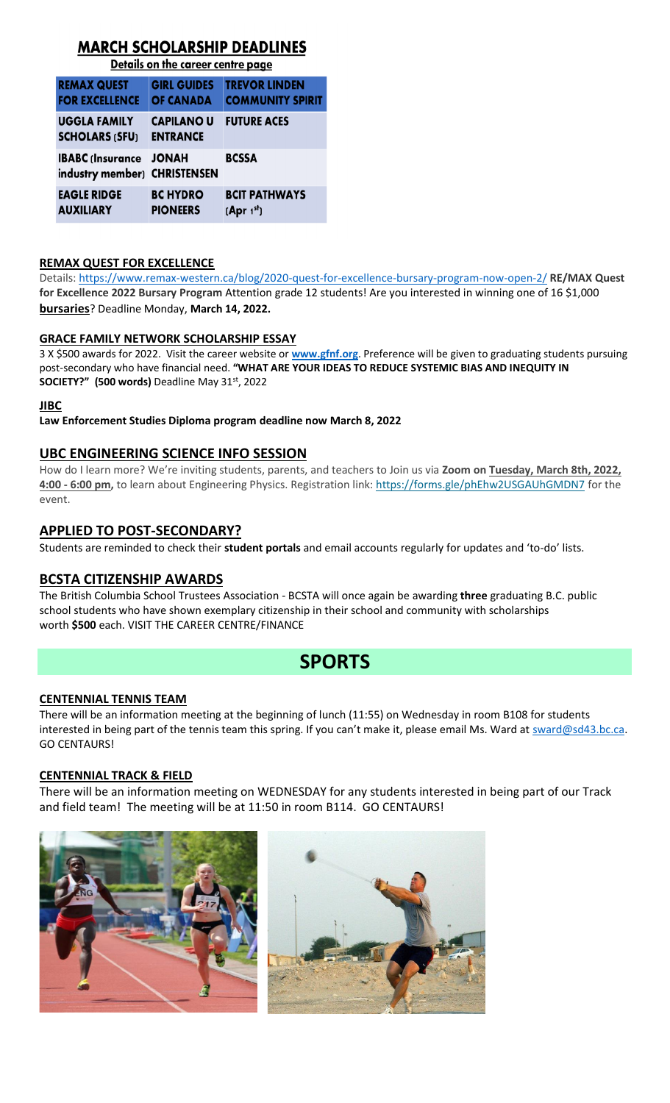# **MARCH SCHOLARSHIP DEADLINES**

Details on the career centre page

|  | <b>REMAX QUEST</b>                                            | <b>GIRL GUIDES</b>                   | <b>TREVOR LINDEN</b>                           |
|--|---------------------------------------------------------------|--------------------------------------|------------------------------------------------|
|  | <b>FOR EXCELLENCE</b>                                         | <b>OF CANADA</b>                     | <b>COMMUNITY SPIRIT</b>                        |
|  | <b>UGGLA FAMILY</b><br><b>SCHOLARS (SFU)</b>                  | <b>CAPILANO U</b><br><b>ENTRANCE</b> | <b>FUTURE ACES</b>                             |
|  | <b>IBABC (Insurance JONAH</b><br>industry member) CHRISTENSEN |                                      | <b>BCSSA</b>                                   |
|  | <b>EAGLE RIDGE</b><br><b>AUXILIARY</b>                        | <b>BC HYDRO</b><br><b>PIONEERS</b>   | <b>BCIT PATHWAYS</b><br>(Apr 1 <sup>st</sup> ) |

#### **REMAX QUEST FOR EXCELLENCE**

Details:<https://www.remax-western.ca/blog/2020-quest-for-excellence-bursary-program-now-open-2/> **RE/MAX Quest for Excellence 2022 Bursary Program** Attention grade 12 students! Are you interested in winning one of 16 \$1,000 **bursaries**? Deadline Monday, **March 14, 2022.** 

## **GRACE FAMILY NETWORK SCHOLARSHIP ESSAY**

3 X \$500 awards for 2022. Visit the career website or **[www.gfnf.org](http://www.gfnf.org/)**. Preference will be given to graduating students pursuing post-secondary who have financial need. **"WHAT ARE YOUR IDEAS TO REDUCE SYSTEMIC BIAS AND INEQUITY IN SOCIETY?" (500 words)** Deadline May 31st, 2022

#### **JIBC**

**Law Enforcement Studies Diploma program deadline now March 8, 2022**

## **UBC ENGINEERING SCIENCE INFO SESSION**

How do I learn more? We're inviting students, parents, and teachers to Join us via **Zoom on Tuesday, March 8th, 2022, 4:00 - 6:00 pm,** to learn about Engineering Physics. Registration link: <https://forms.gle/phEhw2USGAUhGMDN7> for the event.

## **APPLIED TO POST-SECONDARY?**

Students are reminded to check their **student portals** and email accounts regularly for updates and 'to-do' lists.

## **BCSTA CITIZENSHIP AWARDS**

The British Columbia School Trustees Association - BCSTA will once again be awarding **three** graduating B.C. public school students who have shown exemplary citizenship in their school and community with scholarships worth **\$500** each. VISIT THE CAREER CENTRE/FINANCE

# **SPORTS**

## **CENTENNIAL TENNIS TEAM**

There will be an information meeting at the beginning of lunch (11:55) on Wednesday in room B108 for students interested in being part of the tennis team this spring. If you can't make it, please email Ms. Ward at [sward@sd43.bc.ca.](mailto:sward@sd43.bc.ca) GO CENTAURS!

## **CENTENNIAL TRACK & FIELD**

There will be an information meeting on WEDNESDAY for any students interested in being part of our Track and field team! The meeting will be at 11:50 in room B114. GO CENTAURS!